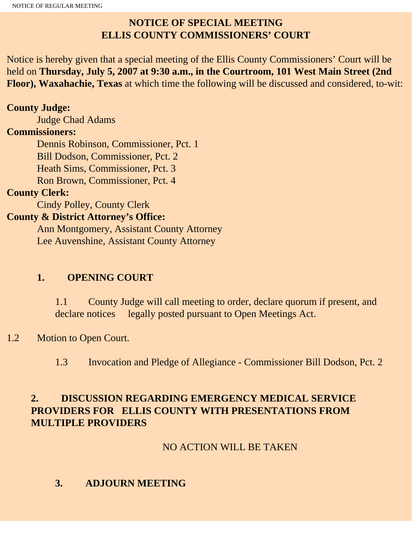# **NOTICE OF SPECIAL MEETING ELLIS COUNTY COMMISSIONERS' COURT**

Notice is hereby given that a special meeting of the Ellis County Commissioners' Court will be held on **Thursday, July 5, 2007 at 9:30 a.m., in the Courtroom, 101 West Main Street (2nd Floor), Waxahachie, Texas** at which time the following will be discussed and considered, to-wit:

#### **County Judge:**

Judge Chad Adams

#### **Commissioners:**

 Dennis Robinson, Commissioner, Pct. 1 Bill Dodson, Commissioner, Pct. 2 Heath Sims, Commissioner, Pct. 3 Ron Brown, Commissioner, Pct. 4

### **County Clerk:**

Cindy Polley, County Clerk

### **County & District Attorney's Office:**

 Ann Montgomery, Assistant County Attorney Lee Auvenshine, Assistant County Attorney

## **1. OPENING COURT**

1.1 County Judge will call meeting to order, declare quorum if present, and declare notices legally posted pursuant to Open Meetings Act.

## 1.2 Motion to Open Court.

1.3 Invocation and Pledge of Allegiance - Commissioner Bill Dodson, Pct. 2

### **2. DISCUSSION REGARDING EMERGENCY MEDICAL SERVICE PROVIDERS FOR ELLIS COUNTY WITH PRESENTATIONS FROM MULTIPLE PROVIDERS**

### NO ACTION WILL BE TAKEN

## **3. ADJOURN MEETING**